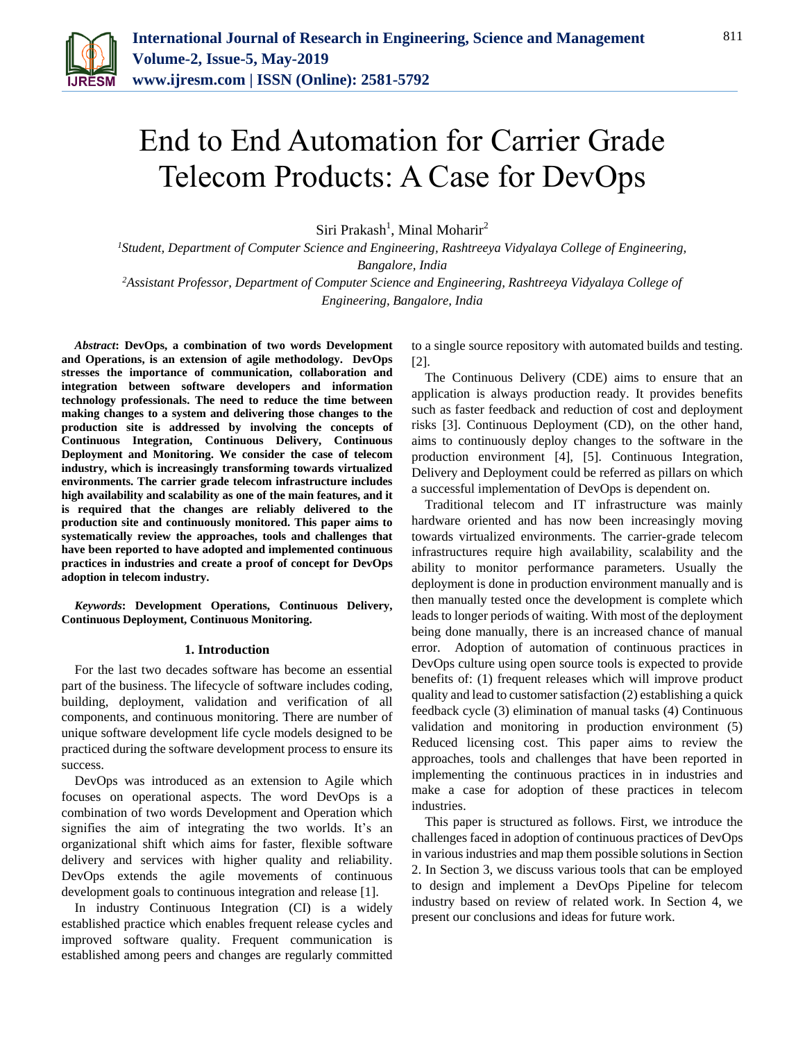

# End to End Automation for Carrier Grade Telecom Products: A Case for DevOps

Siri Prakash<sup>1</sup>, Minal Moharir<sup>2</sup>

*<sup>1</sup>Student, Department of Computer Science and Engineering, Rashtreeya Vidyalaya College of Engineering, Bangalore, India <sup>2</sup>Assistant Professor, Department of Computer Science and Engineering, Rashtreeya Vidyalaya College of* 

*Engineering, Bangalore, India*

*Abstract***: DevOps, a combination of two words Development and Operations, is an extension of agile methodology. DevOps stresses the importance of communication, collaboration and integration between software developers and information technology professionals. The need to reduce the time between making changes to a system and delivering those changes to the production site is addressed by involving the concepts of Continuous Integration, Continuous Delivery, Continuous Deployment and Monitoring. We consider the case of telecom industry, which is increasingly transforming towards virtualized environments. The carrier grade telecom infrastructure includes high availability and scalability as one of the main features, and it is required that the changes are reliably delivered to the production site and continuously monitored. This paper aims to systematically review the approaches, tools and challenges that have been reported to have adopted and implemented continuous practices in industries and create a proof of concept for DevOps adoption in telecom industry.** 

*Keywords***: Development Operations, Continuous Delivery, Continuous Deployment, Continuous Monitoring.** 

### **1. Introduction**

For the last two decades software has become an essential part of the business. The lifecycle of software includes coding, building, deployment, validation and verification of all components, and continuous monitoring. There are number of unique software development life cycle models designed to be practiced during the software development process to ensure its success.

DevOps was introduced as an extension to Agile which focuses on operational aspects. The word DevOps is a combination of two words Development and Operation which signifies the aim of integrating the two worlds. It's an organizational shift which aims for faster, flexible software delivery and services with higher quality and reliability. DevOps extends the agile movements of continuous development goals to continuous integration and release [1].

In industry Continuous Integration (CI) is a widely established practice which enables frequent release cycles and improved software quality. Frequent communication is established among peers and changes are regularly committed to a single source repository with automated builds and testing. [2].

The Continuous Delivery (CDE) aims to ensure that an application is always production ready. It provides benefits such as faster feedback and reduction of cost and deployment risks [3]. Continuous Deployment (CD), on the other hand, aims to continuously deploy changes to the software in the production environment [4], [5]. Continuous Integration, Delivery and Deployment could be referred as pillars on which a successful implementation of DevOps is dependent on.

Traditional telecom and IT infrastructure was mainly hardware oriented and has now been increasingly moving towards virtualized environments. The carrier-grade telecom infrastructures require high availability, scalability and the ability to monitor performance parameters. Usually the deployment is done in production environment manually and is then manually tested once the development is complete which leads to longer periods of waiting. With most of the deployment being done manually, there is an increased chance of manual error. Adoption of automation of continuous practices in DevOps culture using open source tools is expected to provide benefits of: (1) frequent releases which will improve product quality and lead to customer satisfaction (2) establishing a quick feedback cycle (3) elimination of manual tasks (4) Continuous validation and monitoring in production environment (5) Reduced licensing cost. This paper aims to review the approaches, tools and challenges that have been reported in implementing the continuous practices in in industries and make a case for adoption of these practices in telecom industries.

This paper is structured as follows. First, we introduce the challenges faced in adoption of continuous practices of DevOps in various industries and map them possible solutions in Section 2. In Section 3, we discuss various tools that can be employed to design and implement a DevOps Pipeline for telecom industry based on review of related work. In Section 4, we present our conclusions and ideas for future work.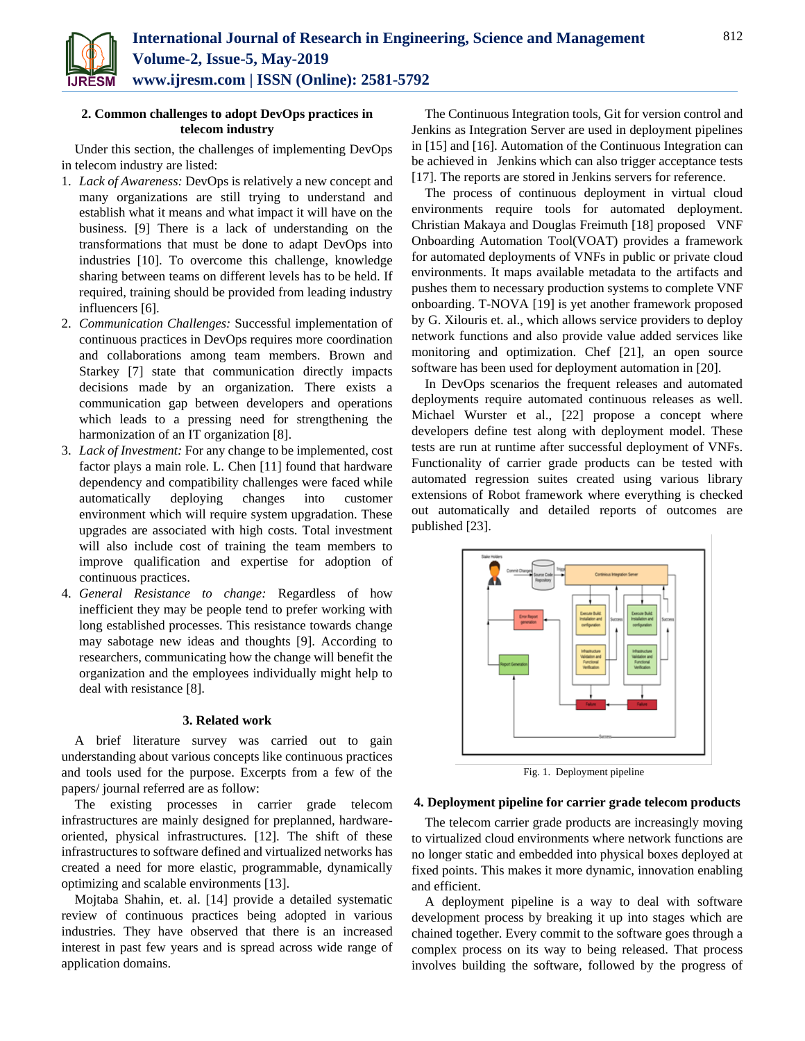

# **2. Common challenges to adopt DevOps practices in telecom industry**

Under this section, the challenges of implementing DevOps in telecom industry are listed:

- 1. *Lack of Awareness:* DevOps is relatively a new concept and many organizations are still trying to understand and establish what it means and what impact it will have on the business. [9] There is a lack of understanding on the transformations that must be done to adapt DevOps into industries [10]. To overcome this challenge, knowledge sharing between teams on different levels has to be held. If required, training should be provided from leading industry influencers [6].
- 2. *Communication Challenges:* Successful implementation of continuous practices in DevOps requires more coordination and collaborations among team members. Brown and Starkey [7] state that communication directly impacts decisions made by an organization. There exists a communication gap between developers and operations which leads to a pressing need for strengthening the harmonization of an IT organization [8].
- 3. *Lack of Investment:* For any change to be implemented, cost factor plays a main role. L. Chen [11] found that hardware dependency and compatibility challenges were faced while automatically deploying changes into customer environment which will require system upgradation. These upgrades are associated with high costs. Total investment will also include cost of training the team members to improve qualification and expertise for adoption of continuous practices.
- 4. *General Resistance to change:* Regardless of how inefficient they may be people tend to prefer working with long established processes. This resistance towards change may sabotage new ideas and thoughts [9]. According to researchers, communicating how the change will benefit the organization and the employees individually might help to deal with resistance [8].

#### **3. Related work**

A brief literature survey was carried out to gain understanding about various concepts like continuous practices and tools used for the purpose. Excerpts from a few of the papers/ journal referred are as follow:

The existing processes in carrier grade telecom infrastructures are mainly designed for preplanned, hardwareoriented, physical infrastructures. [12]. The shift of these infrastructures to software defined and virtualized networks has created a need for more elastic, programmable, dynamically optimizing and scalable environments [13].

Mojtaba Shahin, et. al. [14] provide a detailed systematic review of continuous practices being adopted in various industries. They have observed that there is an increased interest in past few years and is spread across wide range of application domains.

The Continuous Integration tools, Git for version control and Jenkins as Integration Server are used in deployment pipelines in [15] and [16]. Automation of the Continuous Integration can be achieved in Jenkins which can also trigger acceptance tests [17]. The reports are stored in Jenkins servers for reference.

The process of continuous deployment in virtual cloud environments require tools for automated deployment. Christian Makaya and Douglas Freimuth [18] proposed VNF Onboarding Automation Tool(VOAT) provides a framework for automated deployments of VNFs in public or private cloud environments. It maps available metadata to the artifacts and pushes them to necessary production systems to complete VNF onboarding. T-NOVA [19] is yet another framework proposed by G. Xilouris et. al., which allows service providers to deploy network functions and also provide value added services like monitoring and optimization. Chef [21], an open source software has been used for deployment automation in [20].

In DevOps scenarios the frequent releases and automated deployments require automated continuous releases as well. Michael Wurster et al., [22] propose a concept where developers define test along with deployment model. These tests are run at runtime after successful deployment of VNFs. Functionality of carrier grade products can be tested with automated regression suites created using various library extensions of Robot framework where everything is checked out automatically and detailed reports of outcomes are published [23].



Fig. 1. Deployment pipeline

#### **4. Deployment pipeline for carrier grade telecom products**

The telecom carrier grade products are increasingly moving to virtualized cloud environments where network functions are no longer static and embedded into physical boxes deployed at fixed points. This makes it more dynamic, innovation enabling and efficient.

A deployment pipeline is a way to deal with software development process by breaking it up into stages which are chained together. Every commit to the software goes through a complex process on its way to being released. That process involves building the software, followed by the progress of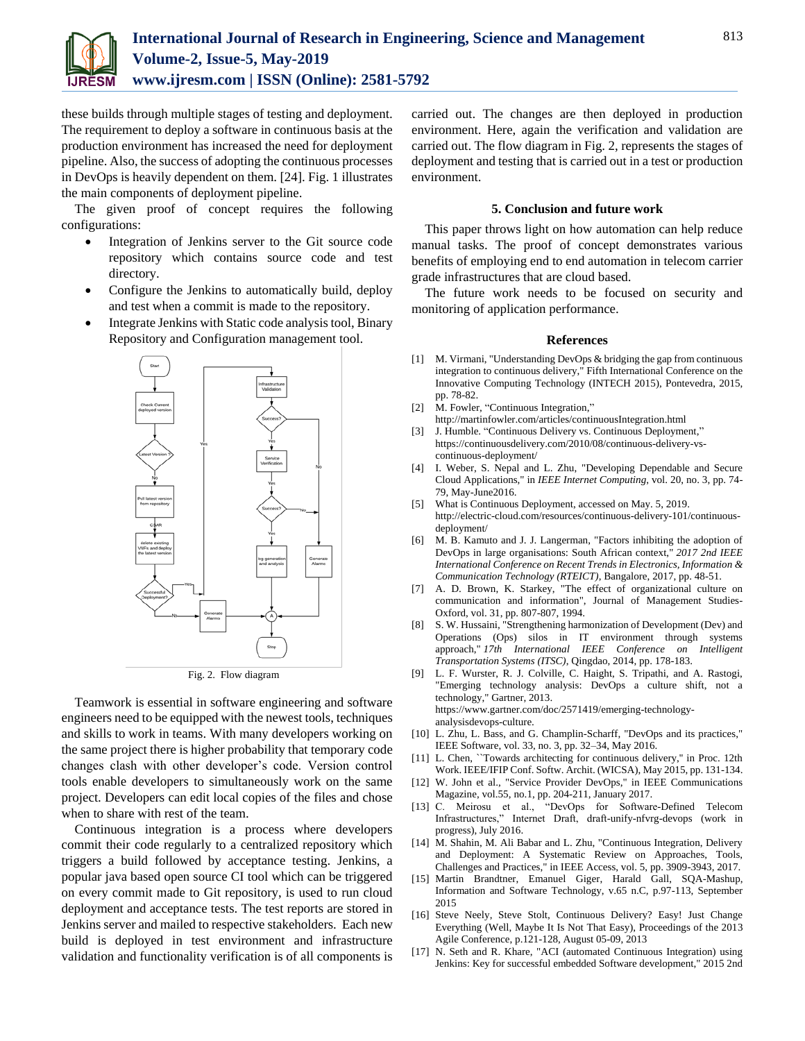

these builds through multiple stages of testing and deployment. The requirement to deploy a software in continuous basis at the production environment has increased the need for deployment pipeline. Also, the success of adopting the continuous processes in DevOps is heavily dependent on them. [24]. Fig. 1 illustrates the main components of deployment pipeline.

The given proof of concept requires the following configurations:

- Integration of Jenkins server to the Git source code repository which contains source code and test directory.
- Configure the Jenkins to automatically build, deploy and test when a commit is made to the repository.
- Integrate Jenkins with Static code analysis tool, Binary Repository and Configuration management tool.



Fig. 2. Flow diagram

Teamwork is essential in software engineering and software engineers need to be equipped with the newest tools, techniques and skills to work in teams. With many developers working on the same project there is higher probability that temporary code changes clash with other developer's code. Version control tools enable developers to simultaneously work on the same project. Developers can edit local copies of the files and chose when to share with rest of the team.

Continuous integration is a process where developers commit their code regularly to a centralized repository which triggers a build followed by acceptance testing. Jenkins, a popular java based open source CI tool which can be triggered on every commit made to Git repository, is used to run cloud deployment and acceptance tests. The test reports are stored in Jenkins server and mailed to respective stakeholders. Each new build is deployed in test environment and infrastructure validation and functionality verification is of all components is carried out. The changes are then deployed in production environment. Here, again the verification and validation are carried out. The flow diagram in Fig. 2, represents the stages of deployment and testing that is carried out in a test or production environment.

# **5. Conclusion and future work**

This paper throws light on how automation can help reduce manual tasks. The proof of concept demonstrates various benefits of employing end to end automation in telecom carrier grade infrastructures that are cloud based.

The future work needs to be focused on security and monitoring of application performance.

#### **References**

- [1] M. Virmani, "Understanding DevOps & bridging the gap from continuous integration to continuous delivery," Fifth International Conference on the Innovative Computing Technology (INTECH 2015), Pontevedra, 2015, pp. 78-82.
- [2] M. Fowler, "Continuous Integration,"
- http://martinfowler.com/articles/continuousIntegration.html
- [3] J. Humble. "Continuous Delivery vs. Continuous Deployment," https://continuousdelivery.com/2010/08/continuous-delivery-vscontinuous-deployment/
- [4] I. Weber, S. Nepal and L. Zhu, "Developing Dependable and Secure Cloud Applications," in *IEEE Internet Computing*, vol. 20, no. 3, pp. 74- 79, May-June2016.
- [5] What is Continuous Deployment, accessed on May. 5, 2019. http://electric-cloud.com/resources/continuous-delivery-101/continuousdeployment/
- [6] M. B. Kamuto and J. J. Langerman, "Factors inhibiting the adoption of DevOps in large organisations: South African context," *2017 2nd IEEE International Conference on Recent Trends in Electronics, Information & Communication Technology (RTEICT)*, Bangalore, 2017, pp. 48-51.
- [7] A. D. Brown, K. Starkey, "The effect of organizational culture on communication and information", Journal of Management Studies-Oxford, vol. 31, pp. 807-807, 1994.
- [8] S. W. Hussaini, "Strengthening harmonization of Development (Dev) and Operations (Ops) silos in IT environment through systems approach," *17th International IEEE Conference on Intelligent Transportation Systems (ITSC)*, Qingdao, 2014, pp. 178-183.
- [9] L. F. Wurster, R. J. Colville, C. Haight, S. Tripathi, and A. Rastogi, "Emerging technology analysis: DevOps a culture shift, not a technology," Gartner, 2013. https://www.gartner.com/doc/2571419/emerging-technologyanalysisdevops-culture.
- [10] L. Zhu, L. Bass, and G. Champlin-Scharff, "DevOps and its practices," IEEE Software, vol. 33, no. 3, pp. 32–34, May 2016.
- [11] L. Chen, "Towards architecting for continuous delivery," in Proc. 12th Work. IEEE/IFIP Conf. Softw. Archit. (WICSA), May 2015, pp. 131-134.
- [12] W. John et al., "Service Provider DevOps," in IEEE Communications Magazine, vol.55, no.1, pp. 204-211, January 2017.
- [13] C. Meirosu et al., "DevOps for Software-Defined Telecom Infrastructures," Internet Draft, draft-unify-nfvrg-devops (work in progress), July 2016.
- [14] M. Shahin, M. Ali Babar and L. Zhu, "Continuous Integration, Delivery and Deployment: A Systematic Review on Approaches, Tools, Challenges and Practices," in IEEE Access, vol. 5, pp. 3909-3943, 2017.
- [15] Martin Brandtner, Emanuel Giger, Harald Gall, SQA-Mashup, Information and Software Technology, v.65 n.C, p.97-113, September 2015
- [16] Steve Neely, Steve Stolt, Continuous Delivery? Easy! Just Change Everything (Well, Maybe It Is Not That Easy), Proceedings of the 2013 Agile Conference, p.121-128, August 05-09, 2013
- [17] N. Seth and R. Khare, "ACI (automated Continuous Integration) using Jenkins: Key for successful embedded Software development," 2015 2nd